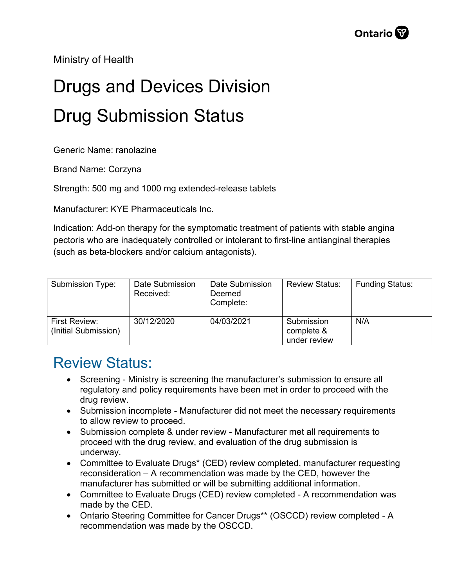Ministry of Health

## Drugs and Devices Division Drug Submission Status

Generic Name: ranolazine

Brand Name: Corzyna

Strength: 500 mg and 1000 mg extended-release tablets

Manufacturer: KYE Pharmaceuticals Inc.

Indication: Add-on therapy for the symptomatic treatment of patients with stable angina pectoris who are inadequately controlled or intolerant to first-line antianginal therapies (such as beta-blockers and/or calcium antagonists).

| Submission Type:                      | Date Submission<br>Received: | Date Submission<br>Deemed<br>Complete: | <b>Review Status:</b>                    | <b>Funding Status:</b> |
|---------------------------------------|------------------------------|----------------------------------------|------------------------------------------|------------------------|
| First Review:<br>(Initial Submission) | 30/12/2020                   | 04/03/2021                             | Submission<br>complete &<br>under review | N/A                    |

## Review Status:

- Screening Ministry is screening the manufacturer's submission to ensure all regulatory and policy requirements have been met in order to proceed with the drug review.
- Submission incomplete Manufacturer did not meet the necessary requirements to allow review to proceed.
- Submission complete & under review Manufacturer met all requirements to proceed with the drug review, and evaluation of the drug submission is underway.
- Committee to Evaluate Drugs\* (CED) review completed, manufacturer requesting reconsideration – A recommendation was made by the CED, however the manufacturer has submitted or will be submitting additional information.
- Committee to Evaluate Drugs (CED) review completed A recommendation was made by the CED.
- Ontario Steering Committee for Cancer Drugs\*\* (OSCCD) review completed A recommendation was made by the OSCCD.